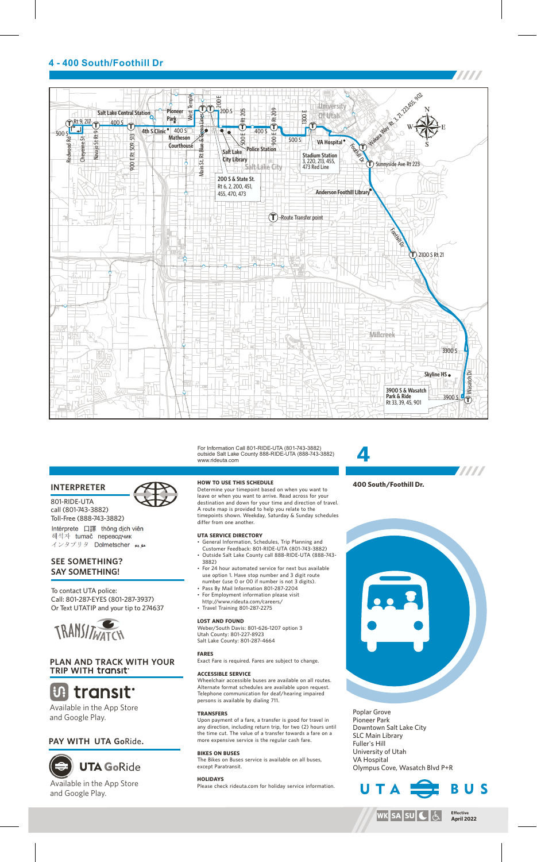## **4 - 400 South/Foothill Dr**



For Information Call 801-RIDE-UTA (801-743-3882) outside Salt Lake County 888-RIDE-UTA (888-743-3882) www.rideuta.com

### **INTERPRETER**

801-RIDE-UTA call (801-743-3882) Toll-Free (888-743-3882) Intérprete 口譯 thông dịch viên 해석자 tumač переводчик インタプリタ Dolmetscher ムル

### **SEE SOMETHING? SAY SOMETHING!**

To contact UTA police: Call: 801-287-EYES (801-287-3937) Or Text UTATIP and your tip to 274637



## **PLAN AND TRACK WITH YOUR TRIP WITH**

## **U.** transit

Available in the App Store and Google Play.

## **PAY WITH UTA Go**Ride**.**

# **UTA GoRide**



**HOW TO USE THIS SCHEDULE**

Determine your timepoint based on when you want to leave or when you want to arrive. Read across for your destination and down for your time and direction of travel. A route map is provided to help you relate to the timepoints shown. Weekday, Saturday & Sunday schedules differ from one another.

#### **UTA SERVICE DIRECTORY**

- General Information, Schedules, Trip Planning and Customer Feedback: 801-RIDE-UTA (801-743-3882) Outside Salt Lake County call 888-RIDE-UTA (888-743-3882)
- For 24 hour automated service for next bus available use option 1. Have stop number and 3 digit route
- number (use 0 or 00 if number is not 3 digits). • Pass By Mail Information 801-287-2204
- For Employment information please visit
- http://www.rideuta.com/careers/ Travel Training 801-287-2275

#### **LOST AND FOUND**

Weber/South Davis: 801-626-1207 option 3 Utah County: 801-227-8923 Salt Lake County: 801-287-4664

#### Exact Fare is required. Fares are subject to change.

**ACCESSIBLE SERVICE** 

Wheelchair accessible buses are available on all routes.

Alternate format schedules are available upon request. Telephone communication for deaf/hearing impaired persons is available by dialing 711.

#### **TRANSFERS**

**FARES**

Upon payment of a fare, a transfer is good for travel in any direction, including return trip, for two (2) hours until the time cut. The value of a transfer towards a fare on a more expensive service is the regular cash fare.

**BIKES ON BUSES** The Bikes on Buses service is available on all buses, except Paratransit.

#### **HOLIDAYS**

Please check rideuta.com for holiday service information.

## **4 TATA 400 South/Foothill Dr.**



Poplar Grove Pioneer Park Downtown Salt Lake City SLC Main Library Fuller's Hill University of Utah VA Hospital Olympus Cove, Wasatch Blvd P+R

U T



BUS